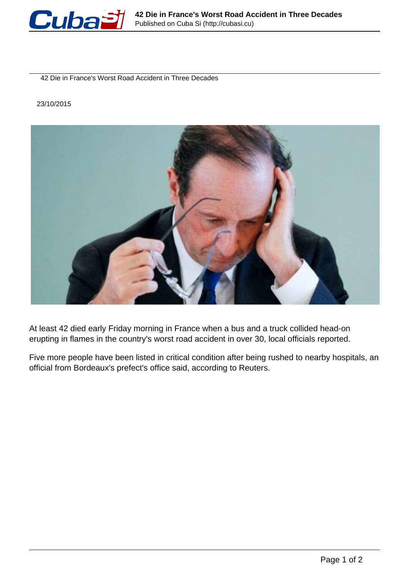

42 Die in France's Worst Road Accident in Three Decades

## 23/10/2015



At least 42 died early Friday morning in France when a bus and a truck collided head-on erupting in flames in the country's worst road accident in over 30, local officials reported.

Five more people have been listed in critical condition after being rushed to nearby hospitals, an official from Bordeaux's prefect's office said, according to Reuters.